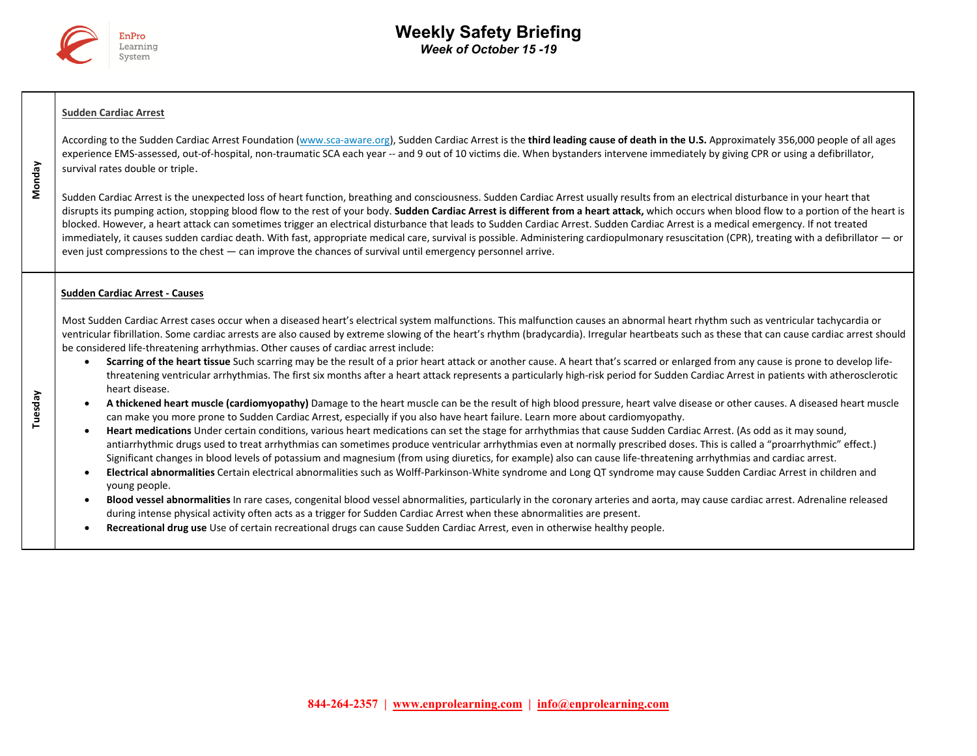

# **Sudden Cardiac Arrest**

 **Monday** 

 **Tuesday** 

According to the Sudden Cardiac Arrest Foundation (www.sca-aware.org), Sudden Cardiac Arrest is the **third leading cause of death in the U.S.** Approximately 356,000 people of all ages experience EMS-assessed, out-of-hospital, non-traumatic SCA each year -- and 9 out of 10 victims die. When bystanders intervene immediately by giving CPR or using a defibrillator, survival rates double or triple.

Sudden Cardiac Arrest is the unexpected loss of heart function, breathing and consciousness. Sudden Cardiac Arrest usually results from an electrical disturbance in your heart that disrupts its pumping action, stopping blood flow to the rest of your body. **Sudden Cardiac Arrest is different from a heart attack,** which occurs when blood flow to a portion of the heart is blocked. However, a heart attack can sometimes trigger an electrical disturbance that leads to Sudden Cardiac Arrest. Sudden Cardiac Arrest is a medical emergency. If not treated immediately, it causes sudden cardiac death. With fast, appropriate medical care, survival is possible. Administering cardiopulmonary resuscitation (CPR), treating with a defibrillator — or even just compressions to the chest — can improve the chances of survival until emergency personnel arrive.

### **Sudden Cardiac Arrest ‐ Causes**

Most Sudden Cardiac Arrest cases occur when a diseased heart's electrical system malfunctions. This malfunction causes an abnormal heart rhythm such as ventricular tachycardia or ventricular fibrillation. Some cardiac arrests are also caused by extreme slowing of the heart's rhythm (bradycardia). Irregular heartbeats such as these that can cause cardiac arrest should be considered life-threatening arrhythmias. Other causes of cardiac arrest include:

- . Scarring of the heart tissue Such scarring may be the result of a prior heart attack or another cause. A heart that's scarred or enlarged from any cause is prone to develop lifethreatening ventricular arrhythmias. The first six months after a heart attack represents a particularly high‐risk period for Sudden Cardiac Arrest in patients with atherosclerotic heart disease.
- . **A thickened heart muscle (cardiomyopathy)** Damage to the heart muscle can be the result of high blood pressure, heart valve disease or other causes. A diseased heart muscle can make you more prone to Sudden Cardiac Arrest, especially if you also have heart failure. Learn more about cardiomyopathy.
- . **Heart medications** Under certain conditions, various heart medications can set the stage for arrhythmias that cause Sudden Cardiac Arrest. (As odd as it may sound, antiarrhythmic drugs used to treat arrhythmias can sometimes produce ventricular arrhythmias even at normally prescribed doses. This is called a "proarrhythmic" effect.) Significant changes in blood levels of potassium and magnesium (from using diuretics, for example) also can cause life‐threatening arrhythmias and cardiac arrest.
- $\bullet$  **Electrical abnormalities** Certain electrical abnormalities such as Wolff‐Parkinson‐White syndrome and Long QT syndrome may cause Sudden Cardiac Arrest in children and young people.
- $\bullet$  **Blood vessel abnormalities** In rare cases, congenital blood vessel abnormalities, particularly in the coronary arteries and aorta, may cause cardiac arrest. Adrenaline released during intense physical activity often acts as a trigger for Sudden Cardiac Arrest when these abnormalities are present.
- $\bullet$ **Recreational drug use** Use of certain recreational drugs can cause Sudden Cardiac Arrest, even in otherwise healthy people.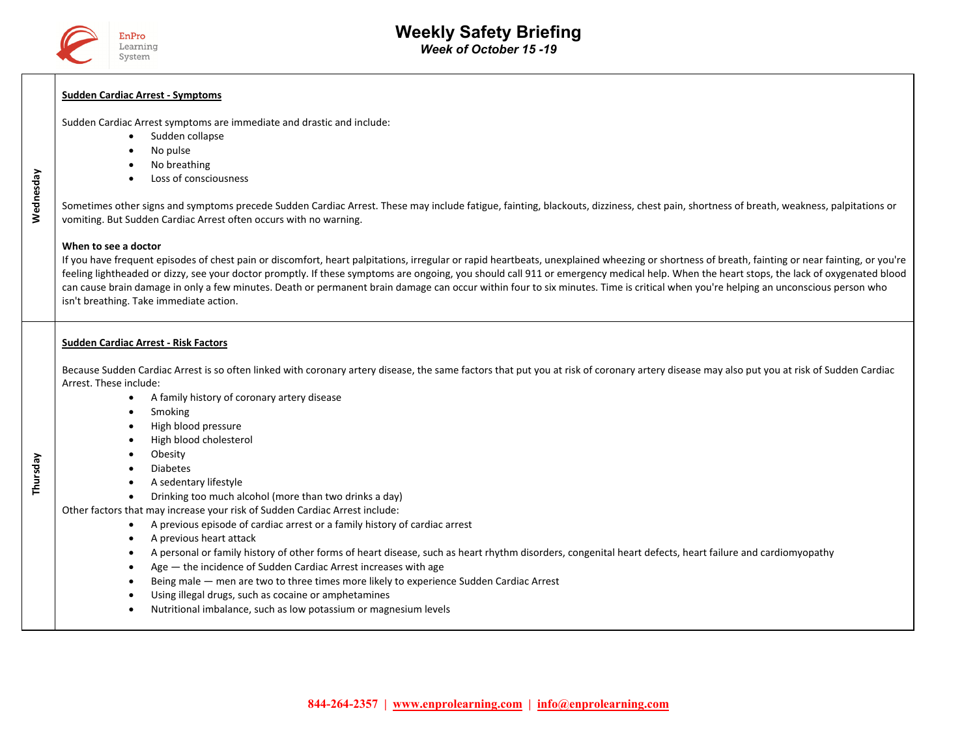

### **Sudden Cardiac Arrest ‐ Symptoms**

Sudden Cardiac Arrest symptoms are immediate and drastic and include:

- $\bullet$ Sudden collapse
- . No pulse
- . No breathing
- . Loss of consciousness

Sometimes other signs and symptoms precede Sudden Cardiac Arrest. These may include fatigue, fainting, blackouts, dizziness, chest pain, shortness of breath, weakness, palpitations or vomiting. But Sudden Cardiac Arrest often occurs with no warning.

#### **When to see a doctor**

 **Wednesday** 

Wednesday

 **Thursday** 

If you have frequent episodes of chest pain or discomfort, heart palpitations, irregular or rapid heartbeats, unexplained wheezing or shortness of breath, fainting or near fainting, or you're feeling lightheaded or dizzy, see your doctor promptly. If these symptoms are ongoing, you should call 911 or emergency medical help. When the heart stops, the lack of oxygenated blood can cause brain damage in only a few minutes. Death or permanent brain damage can occur within four to six minutes. Time is critical when you're helping an unconscious person who isn't breathing. Take immediate action.

## **Sudden Cardiac Arrest ‐ Risk Factors**

Because Sudden Cardiac Arrest is so often linked with coronary artery disease, the same factors that put you at risk of coronary artery disease may also put you at risk of Sudden Cardiac Arrest. These include:

- $\bullet$ A family history of coronary artery disease
- $\bullet$ Smoking
- . High blood pressure
- . High blood cholesterol
- $\bullet$ Obesity
- $\bullet$ Diabetes
- $\bullet$ A sedentary lifestyle
- . Drinking too much alcohol (more than two drinks a day)

Other factors that may increase your risk of Sudden Cardiac Arrest include:

- $\bullet$ A previous episode of cardiac arrest or a family history of cardiac arrest
- $\bullet$ A previous heart attack
- $\bullet$ A personal or family history of other forms of heart disease, such as heart rhythm disorders, congenital heart defects, heart failure and cardiomyopathy
- $\bullet$ Age — the incidence of Sudden Cardiac Arrest increases with age
- . Being male — men are two to three times more likely to experience Sudden Cardiac Arrest
- . Using illegal drugs, such as cocaine or amphetamines
- $\bullet$ Nutritional imbalance, such as low potassium or magnesium levels